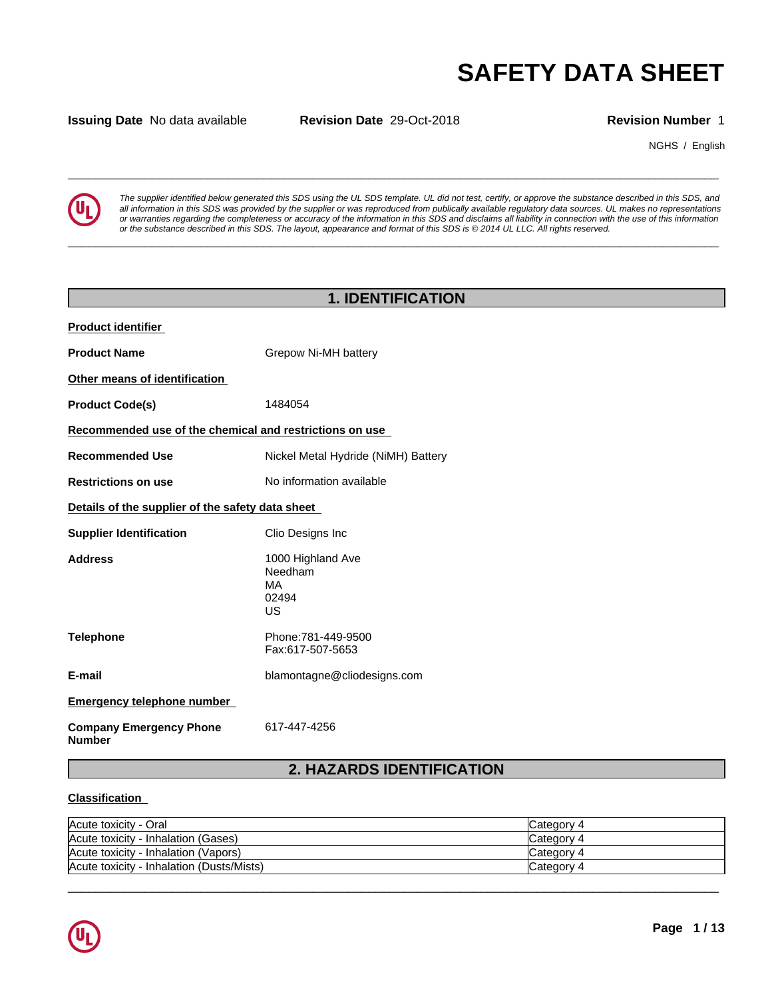**Issuing Date** No data available **Revision Date** 29-Oct-2018 **Revision Number** 1

NGHS / English



**SAFETY DATA SHEET**<br> **SECULTER SECULTER SECULTER SECULTER SECULTER**<br> **Revision Number 1**<br> **All information in this SDS** was provided by the supplier or was reproduced from publically available requisive of the substance de *The supplier identified below generated this SDS using the UL SDS template. UL did not test, certify, or approve the substance described in this SDS, and* all information in this SDS was provided by the supplier or was reproduced from publically available regulatory data sources. UL makes no representations or warranties regarding the completeness or accuracy of the information in this SDS and disclaims all liability in connection with the use of this information or the substance described in this SDS. The layout, appearance and format of this SDS is @2014 UL LLC. All rights reserved.

**\_\_\_\_\_\_\_\_\_\_\_\_\_\_\_\_\_\_\_\_\_\_\_\_\_\_\_\_\_\_\_\_\_\_\_\_\_\_\_\_\_\_\_\_\_\_\_\_\_\_\_\_\_\_\_\_\_\_\_\_\_\_\_\_\_\_\_\_\_\_\_\_\_\_\_\_\_\_\_\_\_\_\_\_\_\_\_\_\_\_\_\_\_**

|                                                         | <b>1. IDENTIFICATION</b>                          |  |  |  |  |  |  |
|---------------------------------------------------------|---------------------------------------------------|--|--|--|--|--|--|
| <b>Product identifier</b>                               |                                                   |  |  |  |  |  |  |
| <b>Product Name</b>                                     | Grepow Ni-MH battery                              |  |  |  |  |  |  |
| Other means of identification                           |                                                   |  |  |  |  |  |  |
| <b>Product Code(s)</b>                                  | 1484054                                           |  |  |  |  |  |  |
| Recommended use of the chemical and restrictions on use |                                                   |  |  |  |  |  |  |
| <b>Recommended Use</b>                                  | Nickel Metal Hydride (NiMH) Battery               |  |  |  |  |  |  |
| <b>Restrictions on use</b>                              | No information available                          |  |  |  |  |  |  |
| Details of the supplier of the safety data sheet        |                                                   |  |  |  |  |  |  |
| <b>Supplier Identification</b>                          | Clio Designs Inc                                  |  |  |  |  |  |  |
| <b>Address</b>                                          | 1000 Highland Ave<br>Needham<br>MA<br>02494<br>US |  |  |  |  |  |  |
| <b>Telephone</b>                                        | Phone: 781-449-9500<br>Fax:617-507-5653           |  |  |  |  |  |  |
| E-mail                                                  | blamontagne@cliodesigns.com                       |  |  |  |  |  |  |
| <b>Emergency telephone number</b>                       |                                                   |  |  |  |  |  |  |
| <b>Company Emergency Phone</b><br><b>Number</b>         | 617-447-4256                                      |  |  |  |  |  |  |
|                                                         | <b>2. HAZARDS IDENTIFICATION</b>                  |  |  |  |  |  |  |

## **Classification**

| Acute toxicity - Oral                     | Category 4 |
|-------------------------------------------|------------|
| Acute toxicity - Inhalation (Gases)       | Category 4 |
| Acute toxicity - Inhalation (Vapors)      | Category 4 |
| Acute toxicity - Inhalation (Dusts/Mists) | Category 4 |

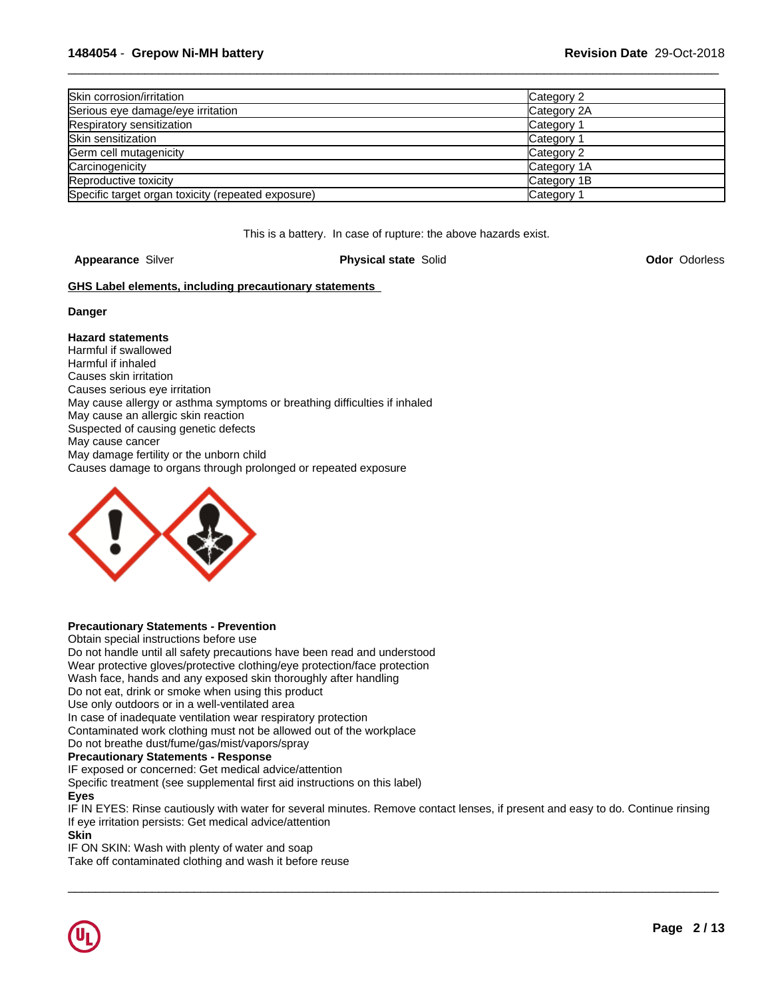| Skin corrosion/irritation                          | Category 2            |
|----------------------------------------------------|-----------------------|
| Serious eye damage/eye irritation                  | Category 2A           |
| Respiratory sensitization                          | Category              |
| Skin sensitization                                 | Category <sup>2</sup> |
| Germ cell mutagenicity                             | Category 2            |
| Carcinogenicity                                    | Category 1A           |
| Reproductive toxicity                              | Category 1B           |
| Specific target organ toxicity (repeated exposure) | Category 1            |

This is a battery. In case of rupture: the above hazards exist.

**Appearance** Silver **Physical state** Solid **Odor** Odorless

## **GHS Label elements, including precautionary statements**

### **Danger**

## **Hazard statements**

Harmful if swallowed Harmful if inhaled Causes skin irritation Causes serious eye irritation May cause allergy or asthma symptoms or breathing difficulties if inhaled May cause an allergic skin reaction Suspected of causing genetic defects May cause cancer May damage fertility or the unborn child Causes damage to organs through prolonged or repeated exposure



## **Precautionary Statements - Prevention**

Obtain special instructions before use Do not handle until all safety precautions have been read and understood Wear protective gloves/protective clothing/eye protection/face protection Wash face, hands and any exposed skin thoroughly after handling Do not eat, drink or smoke when using this product Use only outdoors or in a well-ventilated area In case of inadequate ventilation wear respiratory protection Contaminated work clothing must not be allowed out of the workplace Do not breathe dust/fume/gas/mist/vapors/spray **Precautionary Statements - Response**

IF exposed or concerned: Get medical advice/attention

Specific treatment (see supplemental first aid instructions on this label)

## **Eyes**

IF IN EYES: Rinse cautiously with water for several minutes. Remove contact lenses, if present and easy to do. Continue rinsing If eye irritation persists: Get medical advice/attention

 $\overline{\phantom{a}}$  ,  $\overline{\phantom{a}}$  ,  $\overline{\phantom{a}}$  ,  $\overline{\phantom{a}}$  ,  $\overline{\phantom{a}}$  ,  $\overline{\phantom{a}}$  ,  $\overline{\phantom{a}}$  ,  $\overline{\phantom{a}}$  ,  $\overline{\phantom{a}}$  ,  $\overline{\phantom{a}}$  ,  $\overline{\phantom{a}}$  ,  $\overline{\phantom{a}}$  ,  $\overline{\phantom{a}}$  ,  $\overline{\phantom{a}}$  ,  $\overline{\phantom{a}}$  ,  $\overline{\phantom{a}}$ 

### **Skin**

IF ON SKIN: Wash with plenty of water and soap Take off contaminated clothing and wash it before reuse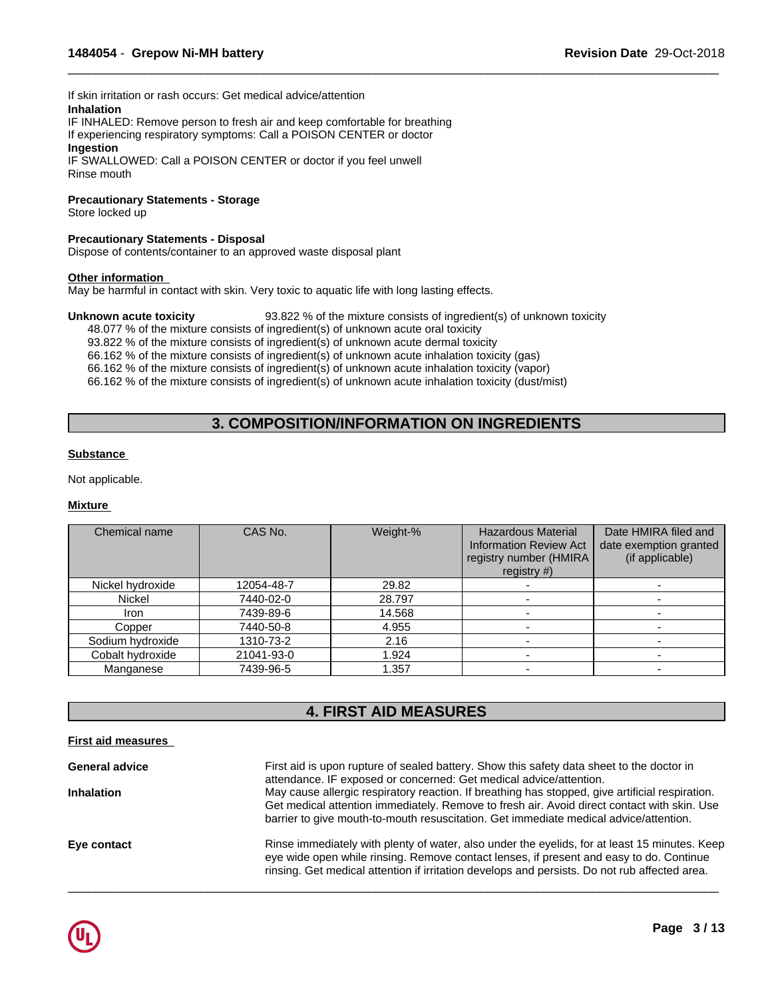If skin irritation or rash occurs: Get medical advice/attention **Inhalation**

IF INHALED: Remove person to fresh air and keep comfortable for breathing If experiencing respiratory symptoms: Call a POISON CENTER or doctor **Ingestion**

IF SWALLOWED: Call a POISON CENTER or doctor if you feel unwell Rinse mouth

## **Precautionary Statements - Storage**

Store locked up

## **Precautionary Statements - Disposal**

Dispose of contents/container to an approved waste disposal plant

## **Other information**

May be harmful in contact with skin. Very toxic to aquatic life with long lasting effects.

#### **Unknown acute toxicity** 93.822 % of the mixture consists of ingredient(s) of unknown toxicity

48.077 % of the mixture consists of ingredient(s) of unknown acute oral toxicity 93.822 % of the mixture consists of ingredient(s) of unknown acute dermal toxicity 66.162 % of the mixture consists of ingredient(s) of unknown acute inhalation toxicity (gas) 66.162 % of the mixture consists of ingredient(s) of unknown acute inhalation toxicity (vapor) 66.162 % of the mixture consists of ingredient(s) of unknown acute inhalation toxicity (dust/mist)

# **3. COMPOSITION/INFORMATION ON INGREDIENTS**

 $\overline{\phantom{a}}$  ,  $\overline{\phantom{a}}$  ,  $\overline{\phantom{a}}$  ,  $\overline{\phantom{a}}$  ,  $\overline{\phantom{a}}$  ,  $\overline{\phantom{a}}$  ,  $\overline{\phantom{a}}$  ,  $\overline{\phantom{a}}$  ,  $\overline{\phantom{a}}$  ,  $\overline{\phantom{a}}$  ,  $\overline{\phantom{a}}$  ,  $\overline{\phantom{a}}$  ,  $\overline{\phantom{a}}$  ,  $\overline{\phantom{a}}$  ,  $\overline{\phantom{a}}$  ,  $\overline{\phantom{a}}$ 

### **Substance**

Not applicable.

## **Mixture**

| Chemical name    | CAS No.    | Weight-% | <b>Hazardous Material</b><br><b>Information Review Act</b><br>registry number (HMIRA<br>registry $#$ ) | Date HMIRA filed and<br>date exemption granted<br>(if applicable) |
|------------------|------------|----------|--------------------------------------------------------------------------------------------------------|-------------------------------------------------------------------|
| Nickel hydroxide | 12054-48-7 | 29.82    |                                                                                                        |                                                                   |
| <b>Nickel</b>    | 7440-02-0  | 28.797   |                                                                                                        |                                                                   |
| Iron             | 7439-89-6  | 14.568   |                                                                                                        |                                                                   |
| Copper           | 7440-50-8  | 4.955    |                                                                                                        |                                                                   |
| Sodium hydroxide | 1310-73-2  | 2.16     |                                                                                                        |                                                                   |
| Cobalt hydroxide | 21041-93-0 | 1.924    |                                                                                                        |                                                                   |
| Manganese        | 7439-96-5  | 1.357    |                                                                                                        |                                                                   |

# **4. FIRST AID MEASURES**

## **First aid measures**

| First aid is upon rupture of sealed battery. Show this safety data sheet to the doctor in                                                                                                                                                                                                 |
|-------------------------------------------------------------------------------------------------------------------------------------------------------------------------------------------------------------------------------------------------------------------------------------------|
| attendance. IF exposed or concerned: Get medical advice/attention.<br>May cause allergic respiratory reaction. If breathing has stopped, give artificial respiration.                                                                                                                     |
| Get medical attention immediately. Remove to fresh air. Avoid direct contact with skin. Use<br>barrier to give mouth-to-mouth resuscitation. Get immediate medical advice/attention.                                                                                                      |
| Rinse immediately with plenty of water, also under the eyelids, for at least 15 minutes. Keep<br>eye wide open while rinsing. Remove contact lenses, if present and easy to do. Continue<br>rinsing. Get medical attention if irritation develops and persists. Do not rub affected area. |
|                                                                                                                                                                                                                                                                                           |

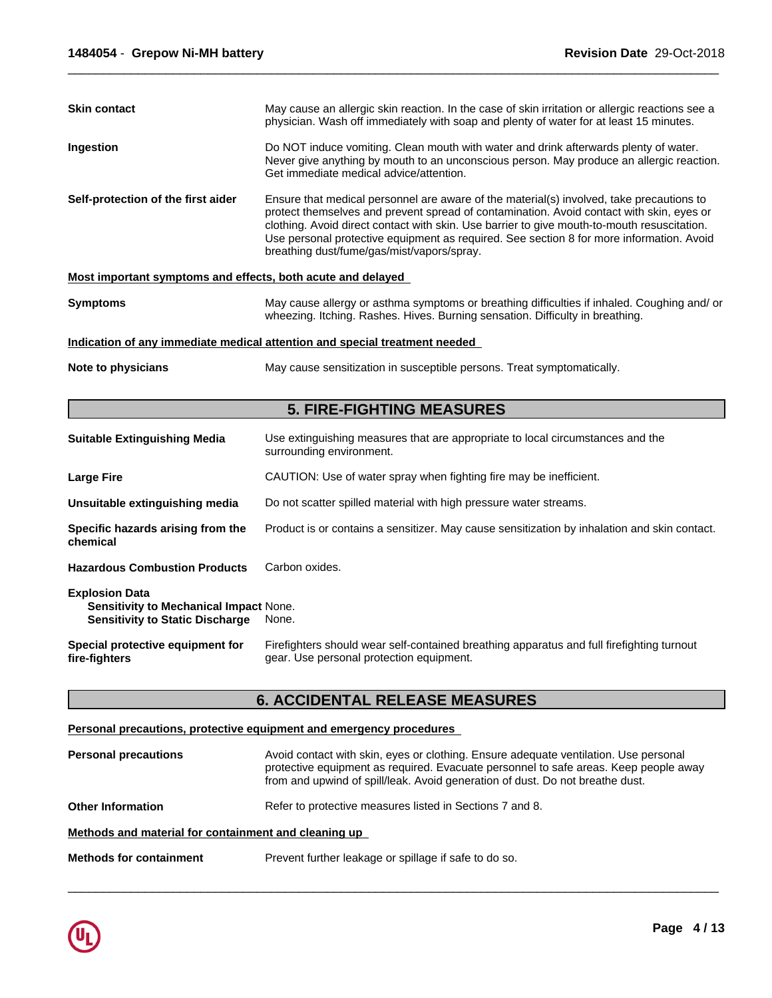| <b>Skin contact</b>                                         | May cause an allergic skin reaction. In the case of skin irritation or allergic reactions see a<br>physician. Wash off immediately with soap and plenty of water for at least 15 minutes.                                                                                                                                                                                                                                     |  |  |  |
|-------------------------------------------------------------|-------------------------------------------------------------------------------------------------------------------------------------------------------------------------------------------------------------------------------------------------------------------------------------------------------------------------------------------------------------------------------------------------------------------------------|--|--|--|
| Ingestion                                                   | Do NOT induce vomiting. Clean mouth with water and drink afterwards plenty of water.<br>Never give anything by mouth to an unconscious person. May produce an allergic reaction.<br>Get immediate medical advice/attention.                                                                                                                                                                                                   |  |  |  |
| Self-protection of the first aider                          | Ensure that medical personnel are aware of the material(s) involved, take precautions to<br>protect themselves and prevent spread of contamination. Avoid contact with skin, eyes or<br>clothing. Avoid direct contact with skin. Use barrier to give mouth-to-mouth resuscitation.<br>Use personal protective equipment as required. See section 8 for more information. Avoid<br>breathing dust/fume/gas/mist/vapors/spray. |  |  |  |
| Most important symptoms and effects, both acute and delayed |                                                                                                                                                                                                                                                                                                                                                                                                                               |  |  |  |
| <b>Symptoms</b>                                             | May cause allergy or asthma symptoms or breathing difficulties if inhaled. Coughing and/or<br>wheezing. Itching. Rashes. Hives. Burning sensation. Difficulty in breathing.                                                                                                                                                                                                                                                   |  |  |  |
|                                                             | Indication of any immediate medical attention and special treatment needed                                                                                                                                                                                                                                                                                                                                                    |  |  |  |
| Note to physicians                                          | May cause sensitization in susceptible persons. Treat symptomatically.                                                                                                                                                                                                                                                                                                                                                        |  |  |  |

# **5. FIRE-FIGHTING MEASURES**

| <b>Suitable Extinguishing Media</b>                                                                              | Use extinguishing measures that are appropriate to local circumstances and the<br>surrounding environment.                            |
|------------------------------------------------------------------------------------------------------------------|---------------------------------------------------------------------------------------------------------------------------------------|
| <b>Large Fire</b>                                                                                                | CAUTION: Use of water spray when fighting fire may be inefficient.                                                                    |
| Unsuitable extinguishing media                                                                                   | Do not scatter spilled material with high pressure water streams.                                                                     |
| Specific hazards arising from the<br>chemical                                                                    | Product is or contains a sensitizer. May cause sensitization by inhalation and skin contact.                                          |
| <b>Hazardous Combustion Products</b>                                                                             | Carbon oxides.                                                                                                                        |
| <b>Explosion Data</b><br><b>Sensitivity to Mechanical Impact None.</b><br><b>Sensitivity to Static Discharge</b> | None.                                                                                                                                 |
| Special protective equipment for<br>fire-fighters                                                                | Firefighters should wear self-contained breathing apparatus and full firefighting turnout<br>gear. Use personal protection equipment. |

# **6. ACCIDENTAL RELEASE MEASURES**

## **Personal precautions, protective equipment and emergency procedures**

| <b>Personal precautions</b>                          | Avoid contact with skin, eyes or clothing. Ensure adequate ventilation. Use personal<br>protective equipment as required. Evacuate personnel to safe areas. Keep people away<br>from and upwind of spill/leak. Avoid generation of dust. Do not breathe dust. |  |  |  |  |
|------------------------------------------------------|---------------------------------------------------------------------------------------------------------------------------------------------------------------------------------------------------------------------------------------------------------------|--|--|--|--|
| <b>Other Information</b>                             | Refer to protective measures listed in Sections 7 and 8.                                                                                                                                                                                                      |  |  |  |  |
| Methods and material for containment and cleaning up |                                                                                                                                                                                                                                                               |  |  |  |  |
| <b>Methods for containment</b>                       | Prevent further leakage or spillage if safe to do so.                                                                                                                                                                                                         |  |  |  |  |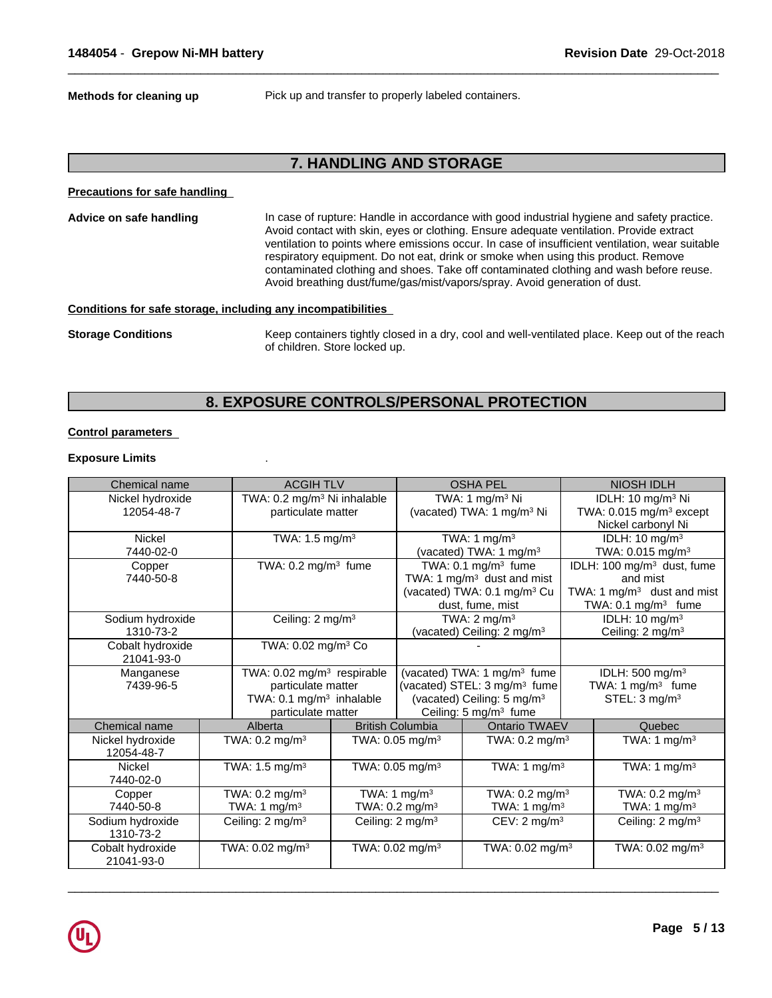**Methods for cleaning up** Pick up and transfer to properly labeled containers.

 $\overline{\phantom{a}}$  ,  $\overline{\phantom{a}}$  ,  $\overline{\phantom{a}}$  ,  $\overline{\phantom{a}}$  ,  $\overline{\phantom{a}}$  ,  $\overline{\phantom{a}}$  ,  $\overline{\phantom{a}}$  ,  $\overline{\phantom{a}}$  ,  $\overline{\phantom{a}}$  ,  $\overline{\phantom{a}}$  ,  $\overline{\phantom{a}}$  ,  $\overline{\phantom{a}}$  ,  $\overline{\phantom{a}}$  ,  $\overline{\phantom{a}}$  ,  $\overline{\phantom{a}}$  ,  $\overline{\phantom{a}}$ 

## **7. HANDLING AND STORAGE**

**Precautions for safe handling**

**Advice on safe handling** In case of rupture: Handle in accordance with good industrial hygiene and safety practice. Avoid contact with skin, eyes or clothing. Ensure adequate ventilation. Provide extract ventilation to points where emissions occur. In case of insufficient ventilation, wear suitable respiratory equipment. Do not eat, drink or smoke when using this product. Remove contaminated clothing and shoes. Take off contaminated clothing and wash before reuse. Avoid breathing dust/fume/gas/mist/vapors/spray. Avoid generation of dust.

### **Conditions for safe storage, including any incompatibilities**

**Storage Conditions** Keep containers tightly closed in a dry, cool and well-ventilated place. Keep out of the reach of children. Store locked up.

# **8. EXPOSURE CONTROLS/PERSONAL PROTECTION**

## **Control parameters**

## **Exposure Limits** .

| Chemical name                  | <b>ACGIH TLV</b>                        |  | <b>OSHA PEL</b>                       |                                          |                             | NIOSH IDLH                             |
|--------------------------------|-----------------------------------------|--|---------------------------------------|------------------------------------------|-----------------------------|----------------------------------------|
| Nickel hydroxide               | TWA: 0.2 mg/m <sup>3</sup> Ni inhalable |  | TWA: 1 $mg/m3$ Ni                     |                                          |                             | IDLH: 10 mg/m <sup>3</sup> Ni          |
| 12054-48-7                     | particulate matter                      |  | (vacated) TWA: 1 mg/m <sup>3</sup> Ni |                                          |                             | TWA: 0.015 mg/m <sup>3</sup> except    |
|                                |                                         |  |                                       |                                          |                             | Nickel carbonyl Ni                     |
| Nickel                         | TWA: 1.5 mg/m <sup>3</sup>              |  | TWA: 1 $mg/m3$                        |                                          |                             | IDLH: $10 \text{ mg/m}^3$              |
| 7440-02-0                      |                                         |  | (vacated) TWA: 1 mg/m <sup>3</sup>    |                                          |                             | TWA: $0.015$ mg/m <sup>3</sup>         |
| Copper                         | TWA: $0.2$ mg/m <sup>3</sup> fume       |  | TWA: $0.1 \text{ mg/m}^3$ fume        |                                          |                             | IDLH: 100 mg/m <sup>3</sup> dust, fume |
| 7440-50-8                      |                                         |  |                                       | TWA: 1 mg/m <sup>3</sup> dust and mist   |                             | and mist                               |
|                                |                                         |  |                                       | (vacated) TWA: 0.1 mg/m <sup>3</sup> Cu  |                             | TWA: 1 mg/m <sup>3</sup> dust and mist |
|                                |                                         |  |                                       | dust, fume, mist                         |                             | TWA: 0.1 mg/m <sup>3</sup> fume        |
| Sodium hydroxide               | Ceiling: 2 mg/m <sup>3</sup>            |  |                                       | TWA: $2 \text{ mg/m}^3$                  |                             | IDLH: 10 mg/m <sup>3</sup>             |
| 1310-73-2                      |                                         |  |                                       | (vacated) Ceiling: 2 mg/m <sup>3</sup>   |                             | Ceiling: 2 mg/m <sup>3</sup>           |
| Cobalt hydroxide               | TWA: 0.02 mg/m <sup>3</sup> Co          |  |                                       |                                          |                             |                                        |
| 21041-93-0                     |                                         |  |                                       |                                          |                             |                                        |
| Manganese                      | TWA: 0.02 mg/m <sup>3</sup> respirable  |  |                                       | (vacated) TWA: 1 mg/m <sup>3</sup> fume  | IDLH: 500 mg/m <sup>3</sup> |                                        |
| 7439-96-5                      | particulate matter                      |  |                                       | (vacated) STEL: 3 mg/m <sup>3</sup> fume |                             | TWA: 1 mg/m <sup>3</sup> fume          |
|                                | TWA: $0.1 \text{ mg/m}^3$ inhalable     |  |                                       | (vacated) Ceiling: 5 mg/m <sup>3</sup>   |                             | STEL: $3 \text{ mg/m}^3$               |
|                                | particulate matter                      |  |                                       | Ceiling: 5 mg/m <sup>3</sup> fume        |                             |                                        |
| Chemical name                  | Alberta                                 |  | <b>British Columbia</b>               | Ontario TWAEV                            |                             | Quebec                                 |
| Nickel hydroxide<br>12054-48-7 | TWA: $0.2 \text{ mg/m}^3$               |  | TWA: $0.05$ mg/m <sup>3</sup>         | TWA: $0.2 \text{ mg/m}^3$                |                             | TWA: 1 $mq/m3$                         |
| <b>Nickel</b><br>7440-02-0     | TWA: $1.5 \text{ mg/m}^3$               |  | TWA: $0.05$ mg/m <sup>3</sup>         | TWA: 1 $mg/m3$                           |                             | TWA: 1 $mg/m3$                         |
| Copper                         | TWA: $0.2 \text{ mg/m}^3$               |  | TWA: 1 mg/m <sup>3</sup>              | TWA: $0.2 \text{ mg/m}^3$                |                             | TWA: $0.2$ mg/m <sup>3</sup>           |
| 7440-50-8                      | TWA: 1 mg/m $3$                         |  | TWA: 0.2 mg/m <sup>3</sup>            | TWA: 1 mg/m <sup>3</sup>                 |                             | TWA: 1 $mg/m3$                         |
| Sodium hydroxide<br>1310-73-2  | Ceiling: 2 mg/m <sup>3</sup>            |  | Ceiling: 2 mg/m <sup>3</sup>          | CEV: $2 \text{ mg/m}^3$                  |                             | Ceiling: 2 mg/m <sup>3</sup>           |
| Cobalt hydroxide<br>21041-93-0 | TWA: 0.02 mg/m <sup>3</sup>             |  | TWA: $0.02$ mg/m <sup>3</sup>         | TWA: $0.02$ mg/m <sup>3</sup>            |                             | TWA: 0.02 mg/m <sup>3</sup>            |

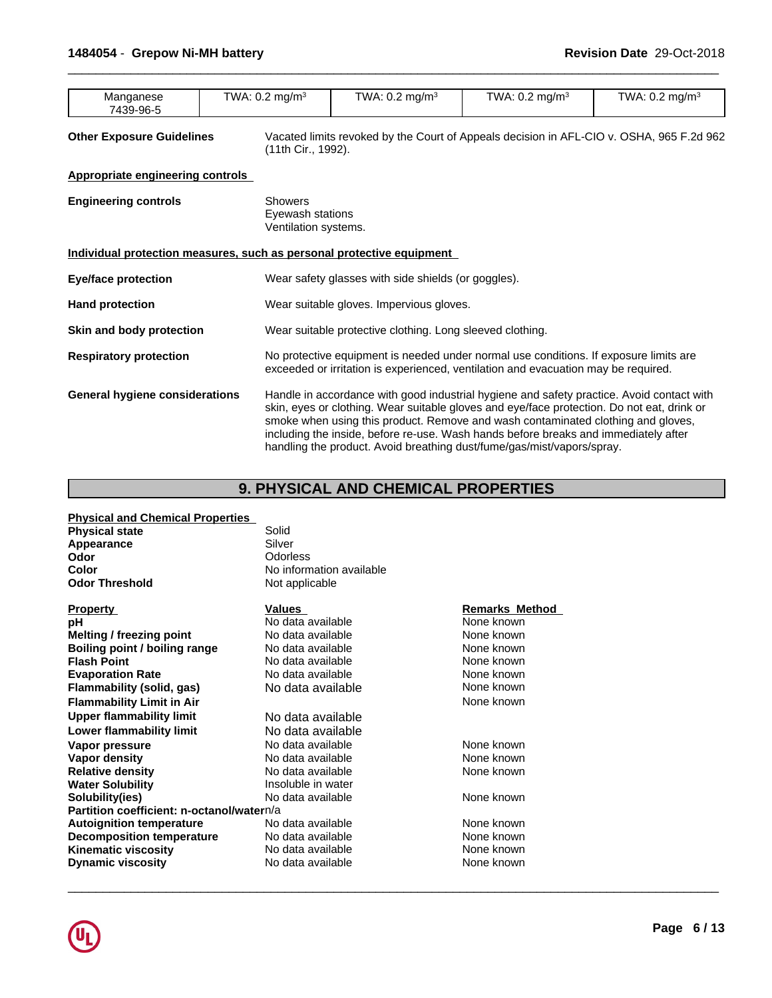| TWA.<br>TWA.<br>$TM^{\prime}$<br>TWA: 0.2<br>ma/m <sup>3</sup><br>. ma/m <sup>3</sup><br>$\cdot$ ma/m <sup>3</sup><br>Manganese<br>$\degree$ ma/m $\degree$<br><b>U.∠</b><br>.U.Z<br>7439-96-5 |
|------------------------------------------------------------------------------------------------------------------------------------------------------------------------------------------------|
|------------------------------------------------------------------------------------------------------------------------------------------------------------------------------------------------|

**Other Exposure Guidelines** Vacated limits revoked by the Court of Appeals decision in AFL-CIO v. OSHA, 965 F.2d 962 (11th Cir., 1992).

 $\overline{\phantom{a}}$  ,  $\overline{\phantom{a}}$  ,  $\overline{\phantom{a}}$  ,  $\overline{\phantom{a}}$  ,  $\overline{\phantom{a}}$  ,  $\overline{\phantom{a}}$  ,  $\overline{\phantom{a}}$  ,  $\overline{\phantom{a}}$  ,  $\overline{\phantom{a}}$  ,  $\overline{\phantom{a}}$  ,  $\overline{\phantom{a}}$  ,  $\overline{\phantom{a}}$  ,  $\overline{\phantom{a}}$  ,  $\overline{\phantom{a}}$  ,  $\overline{\phantom{a}}$  ,  $\overline{\phantom{a}}$ 

**Appropriate engineering controls**

| <b>Engineering controls</b>                                           | <b>Showers</b><br>Eyewash stations<br>Ventilation systems.                                                                                                                                                                                                                                                                                                                                                                                   |  |  |  |  |  |
|-----------------------------------------------------------------------|----------------------------------------------------------------------------------------------------------------------------------------------------------------------------------------------------------------------------------------------------------------------------------------------------------------------------------------------------------------------------------------------------------------------------------------------|--|--|--|--|--|
| Individual protection measures, such as personal protective equipment |                                                                                                                                                                                                                                                                                                                                                                                                                                              |  |  |  |  |  |
| <b>Eye/face protection</b>                                            | Wear safety glasses with side shields (or goggles).                                                                                                                                                                                                                                                                                                                                                                                          |  |  |  |  |  |
| <b>Hand protection</b>                                                | Wear suitable gloves. Impervious gloves.                                                                                                                                                                                                                                                                                                                                                                                                     |  |  |  |  |  |
| Skin and body protection                                              | Wear suitable protective clothing. Long sleeved clothing.                                                                                                                                                                                                                                                                                                                                                                                    |  |  |  |  |  |
| <b>Respiratory protection</b>                                         | No protective equipment is needed under normal use conditions. If exposure limits are<br>exceeded or irritation is experienced, ventilation and evacuation may be required.                                                                                                                                                                                                                                                                  |  |  |  |  |  |
| <b>General hygiene considerations</b>                                 | Handle in accordance with good industrial hygiene and safety practice. Avoid contact with<br>skin, eyes or clothing. Wear suitable gloves and eye/face protection. Do not eat, drink or<br>smoke when using this product. Remove and wash contaminated clothing and gloves,<br>including the inside, before re-use. Wash hands before breaks and immediately after<br>handling the product. Avoid breathing dust/fume/gas/mist/vapors/spray. |  |  |  |  |  |

# **9. PHYSICAL AND CHEMICAL PROPERTIES**

| <b>Physical and Chemical Properties</b>   |                          |                       |
|-------------------------------------------|--------------------------|-----------------------|
| <b>Physical state</b>                     | Solid                    |                       |
| Appearance                                | Silver                   |                       |
| Odor                                      | Odorless                 |                       |
| <b>Color</b>                              | No information available |                       |
| <b>Odor Threshold</b>                     | Not applicable           |                       |
| <b>Property</b>                           | <b>Values</b>            | <b>Remarks Method</b> |
| pН                                        | No data available        | None known            |
| Melting / freezing point                  | No data available        | None known            |
| Boiling point / boiling range             | No data available        | None known            |
| <b>Flash Point</b>                        | No data available        | None known            |
| <b>Evaporation Rate</b>                   | No data available        | None known            |
| Flammability (solid, gas)                 | No data available        | None known            |
| <b>Flammability Limit in Air</b>          |                          | None known            |
| <b>Upper flammability limit</b>           | No data available        |                       |
| Lower flammability limit                  | No data available        |                       |
| Vapor pressure                            | No data available        | None known            |
| Vapor density                             | No data available        | None known            |
| <b>Relative density</b>                   | No data available        | None known            |
| <b>Water Solubility</b>                   | Insoluble in water       |                       |
| Solubility(ies)                           | No data available        | None known            |
| Partition coefficient: n-octanol/watern/a |                          |                       |
| <b>Autoignition temperature</b>           | No data available        | None known            |
| <b>Decomposition temperature</b>          | No data available        | None known            |
| <b>Kinematic viscosity</b>                | No data available        | None known            |
| <b>Dynamic viscosity</b>                  | No data available        | None known            |
|                                           |                          |                       |

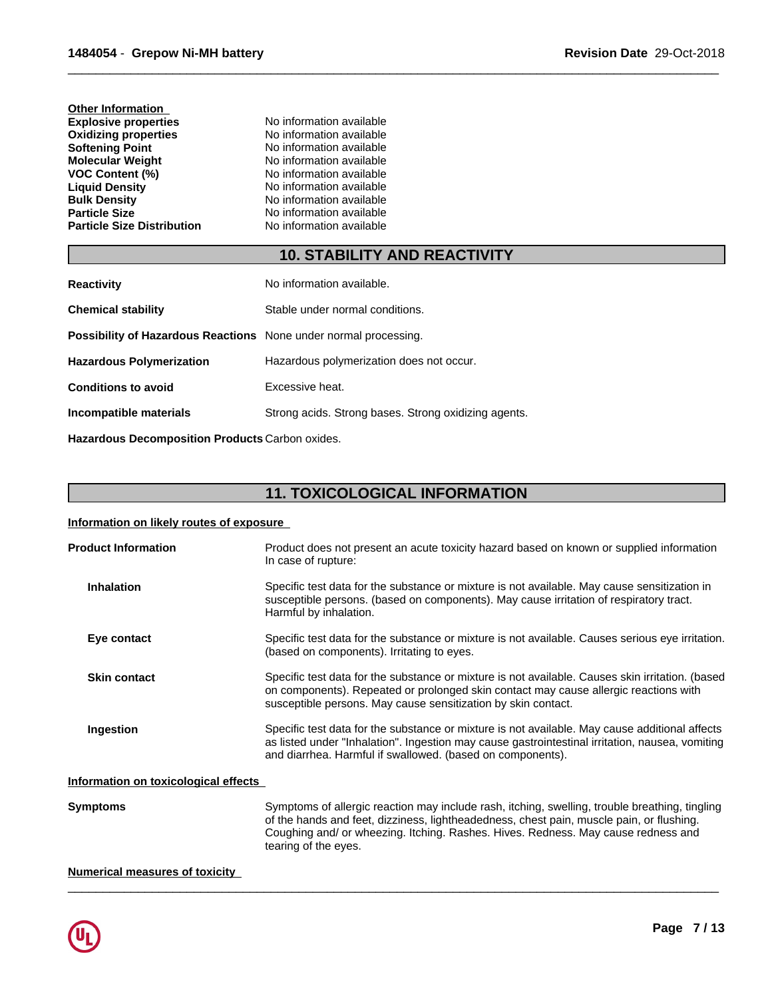| <b>Other Information</b>          |                          |  |
|-----------------------------------|--------------------------|--|
| <b>Explosive properties</b>       | No information available |  |
| <b>Oxidizing properties</b>       | No information available |  |
| <b>Softening Point</b>            | No information available |  |
| Molecular Weight                  | No information available |  |
| <b>VOC Content (%)</b>            | No information available |  |
| <b>Liquid Density</b>             | No information available |  |
| <b>Bulk Density</b>               | No information available |  |
| <b>Particle Size</b>              | No information available |  |
| <b>Particle Size Distribution</b> | No information available |  |
|                                   |                          |  |

# **10. STABILITY AND REACTIVITY**

 $\overline{\phantom{a}}$  ,  $\overline{\phantom{a}}$  ,  $\overline{\phantom{a}}$  ,  $\overline{\phantom{a}}$  ,  $\overline{\phantom{a}}$  ,  $\overline{\phantom{a}}$  ,  $\overline{\phantom{a}}$  ,  $\overline{\phantom{a}}$  ,  $\overline{\phantom{a}}$  ,  $\overline{\phantom{a}}$  ,  $\overline{\phantom{a}}$  ,  $\overline{\phantom{a}}$  ,  $\overline{\phantom{a}}$  ,  $\overline{\phantom{a}}$  ,  $\overline{\phantom{a}}$  ,  $\overline{\phantom{a}}$ 

| <b>Reactivity</b>                                                       | No information available.                            |
|-------------------------------------------------------------------------|------------------------------------------------------|
| <b>Chemical stability</b>                                               | Stable under normal conditions.                      |
| <b>Possibility of Hazardous Reactions</b> None under normal processing. |                                                      |
| <b>Hazardous Polymerization</b>                                         | Hazardous polymerization does not occur.             |
| <b>Conditions to avoid</b>                                              | Excessive heat.                                      |
| Incompatible materials                                                  | Strong acids. Strong bases. Strong oxidizing agents. |
|                                                                         |                                                      |

**Hazardous Decomposition Products** Carbon oxides.

# **11. TOXICOLOGICAL INFORMATION**

## **Information on likely routes of exposure**

| <b>Product Information</b>           | Product does not present an acute toxicity hazard based on known or supplied information<br>In case of rupture:                                                                                                                                                                                         |
|--------------------------------------|---------------------------------------------------------------------------------------------------------------------------------------------------------------------------------------------------------------------------------------------------------------------------------------------------------|
| <b>Inhalation</b>                    | Specific test data for the substance or mixture is not available. May cause sensitization in<br>susceptible persons. (based on components). May cause irritation of respiratory tract.<br>Harmful by inhalation.                                                                                        |
| Eye contact                          | Specific test data for the substance or mixture is not available. Causes serious eye irritation.<br>(based on components). Irritating to eyes.                                                                                                                                                          |
| <b>Skin contact</b>                  | Specific test data for the substance or mixture is not available. Causes skin irritation. (based<br>on components). Repeated or prolonged skin contact may cause allergic reactions with<br>susceptible persons. May cause sensitization by skin contact.                                               |
| Ingestion                            | Specific test data for the substance or mixture is not available. May cause additional affects<br>as listed under "Inhalation". Ingestion may cause gastrointestinal irritation, nausea, vomiting<br>and diarrhea. Harmful if swallowed. (based on components).                                         |
| Information on toxicological effects |                                                                                                                                                                                                                                                                                                         |
| Symptoms                             | Symptoms of allergic reaction may include rash, itching, swelling, trouble breathing, tingling<br>of the hands and feet, dizziness, lightheadedness, chest pain, muscle pain, or flushing.<br>Coughing and/ or wheezing. Itching. Rashes. Hives. Redness. May cause redness and<br>tearing of the eyes. |

 $\overline{\phantom{a}}$  ,  $\overline{\phantom{a}}$  ,  $\overline{\phantom{a}}$  ,  $\overline{\phantom{a}}$  ,  $\overline{\phantom{a}}$  ,  $\overline{\phantom{a}}$  ,  $\overline{\phantom{a}}$  ,  $\overline{\phantom{a}}$  ,  $\overline{\phantom{a}}$  ,  $\overline{\phantom{a}}$  ,  $\overline{\phantom{a}}$  ,  $\overline{\phantom{a}}$  ,  $\overline{\phantom{a}}$  ,  $\overline{\phantom{a}}$  ,  $\overline{\phantom{a}}$  ,  $\overline{\phantom{a}}$ 

## **Numerical measures of toxicity**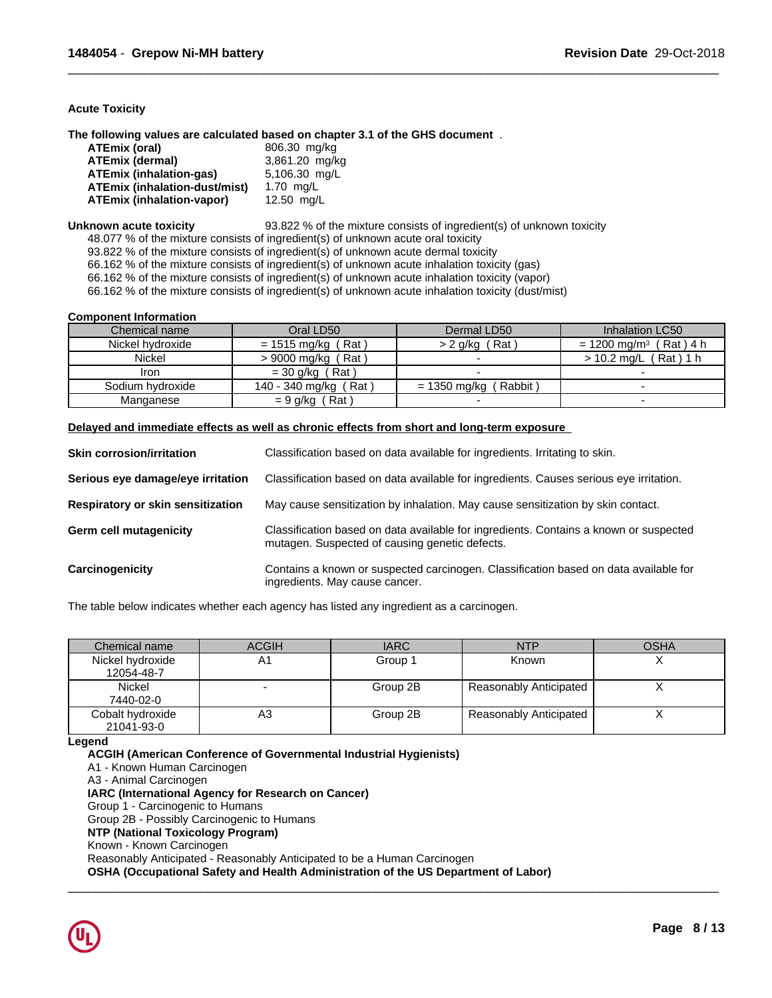## **Acute Toxicity**

**The following values are calculated based on chapter 3.1 of the GHS document** .

| ATEmix (oral)                 | 806.30 mg/kg   |
|-------------------------------|----------------|
| ATEmix (dermal)               | 3,861.20 mg/kg |
| ATEmix (inhalation-ɑas)       | 5,106.30 mg/L  |
| ATEmix (inhalation-dust/mist) | 1.70 mg/L      |
| ATEmix (inhalation-vapor)     | 12.50 mg/L     |

**Unknown acute toxicity** 93.822 % of the mixture consists of ingredient(s) of unknown toxicity

 $\overline{\phantom{a}}$  ,  $\overline{\phantom{a}}$  ,  $\overline{\phantom{a}}$  ,  $\overline{\phantom{a}}$  ,  $\overline{\phantom{a}}$  ,  $\overline{\phantom{a}}$  ,  $\overline{\phantom{a}}$  ,  $\overline{\phantom{a}}$  ,  $\overline{\phantom{a}}$  ,  $\overline{\phantom{a}}$  ,  $\overline{\phantom{a}}$  ,  $\overline{\phantom{a}}$  ,  $\overline{\phantom{a}}$  ,  $\overline{\phantom{a}}$  ,  $\overline{\phantom{a}}$  ,  $\overline{\phantom{a}}$ 

48.077 % of the mixture consists of ingredient(s) of unknown acute oral toxicity

93.822 % of the mixture consists of ingredient(s) of unknown acute dermal toxicity

66.162 % of the mixture consists of ingredient(s) of unknown acute inhalation toxicity (gas)

66.162 % of the mixture consists of ingredient(s) of unknown acute inhalation toxicity (vapor)

66.162 % of the mixture consists of ingredient(s) of unknown acute inhalation toxicity (dust/mist)

## **Component Information**

| Chemical name    | Oral LD50              | Dermal LD50            | Inhalation LC50                        |
|------------------|------------------------|------------------------|----------------------------------------|
| Nickel hydroxide | (Rat )<br>= 1515 mg/kg | $> 2$ g/kg (Rat)       | (Rat)4 h<br>$= 1200$ ma/m <sup>3</sup> |
| Nickel           | ˈRatˈ<br>> 9000 mg/kg  |                        | (Rat)1 h<br>$> 10.2$ mg/L              |
| Iron             | $=$ 30 g/kg (Rat)      |                        |                                        |
| Sodium hydroxide | 140 - 340 mg/kg (Rat)  | Rabbit<br>= 1350 mg/kg |                                        |
| Manganese        | Rat \<br>= 9 g/kg      |                        |                                        |

## **Delayed and immediate effects as well as chronic effects from short and long-term exposure**

| <b>Skin corrosion/irritation</b>  | Classification based on data available for ingredients. Irritating to skin.                                                             |
|-----------------------------------|-----------------------------------------------------------------------------------------------------------------------------------------|
| Serious eye damage/eye irritation | Classification based on data available for ingredients. Causes serious eye irritation.                                                  |
| Respiratory or skin sensitization | May cause sensitization by inhalation. May cause sensitization by skin contact.                                                         |
| <b>Germ cell mutagenicity</b>     | Classification based on data available for ingredients. Contains a known or suspected<br>mutagen. Suspected of causing genetic defects. |
| Carcinogenicity                   | Contains a known or suspected carcinogen. Classification based on data available for<br>ingredients. May cause cancer.                  |

The table below indicates whether each agency has listed any ingredient as a carcinogen.

| Chemical name                  | <b>ACGIH</b> | <b>IARC</b> | <b>NTP</b>             | <b>OSHA</b> |
|--------------------------------|--------------|-------------|------------------------|-------------|
| Nickel hydroxide<br>12054-48-7 | Α1           | Group 1     | <b>Known</b>           |             |
| <b>Nickel</b><br>7440-02-0     |              | Group 2B    | Reasonably Anticipated |             |
| Cobalt hydroxide<br>21041-93-0 | A3           | Group 2B    | Reasonably Anticipated |             |

 $\overline{\phantom{a}}$  ,  $\overline{\phantom{a}}$  ,  $\overline{\phantom{a}}$  ,  $\overline{\phantom{a}}$  ,  $\overline{\phantom{a}}$  ,  $\overline{\phantom{a}}$  ,  $\overline{\phantom{a}}$  ,  $\overline{\phantom{a}}$  ,  $\overline{\phantom{a}}$  ,  $\overline{\phantom{a}}$  ,  $\overline{\phantom{a}}$  ,  $\overline{\phantom{a}}$  ,  $\overline{\phantom{a}}$  ,  $\overline{\phantom{a}}$  ,  $\overline{\phantom{a}}$  ,  $\overline{\phantom{a}}$ 

**Legend**

**ACGIH (American Conference of Governmental Industrial Hygienists)** A1 - Known Human Carcinogen A3 - Animal Carcinogen **IARC (International Agency for Research on Cancer)** Group 1 - Carcinogenic to Humans Group 2B - Possibly Carcinogenic to Humans **NTP (National Toxicology Program)** Known - Known Carcinogen Reasonably Anticipated - Reasonably Anticipated to be a Human Carcinogen **OSHA (Occupational Safety and Health Administration of the US Department of Labor)**

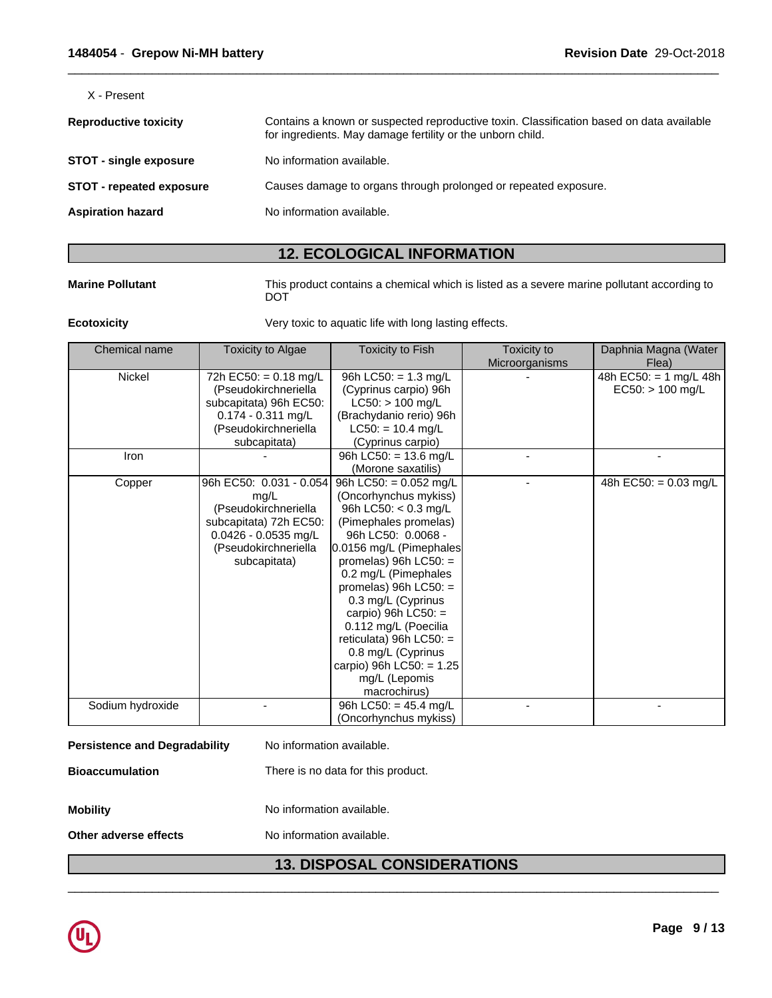X - Present

| <b>Reproductive toxicity</b>    | Contains a known or suspected reproductive toxin. Classification based on data available<br>for ingredients. May damage fertility or the unborn child. |
|---------------------------------|--------------------------------------------------------------------------------------------------------------------------------------------------------|
| <b>STOT - single exposure</b>   | No information available.                                                                                                                              |
| <b>STOT - repeated exposure</b> | Causes damage to organs through prolonged or repeated exposure.                                                                                        |
| <b>Aspiration hazard</b>        | No information available.                                                                                                                              |
|                                 |                                                                                                                                                        |

# **12. ECOLOGICAL INFORMATION**

**Marine Pollutant** This product contains a chemical which is listed as a severe marine pollutant according to DOT

 $\overline{\phantom{a}}$  ,  $\overline{\phantom{a}}$  ,  $\overline{\phantom{a}}$  ,  $\overline{\phantom{a}}$  ,  $\overline{\phantom{a}}$  ,  $\overline{\phantom{a}}$  ,  $\overline{\phantom{a}}$  ,  $\overline{\phantom{a}}$  ,  $\overline{\phantom{a}}$  ,  $\overline{\phantom{a}}$  ,  $\overline{\phantom{a}}$  ,  $\overline{\phantom{a}}$  ,  $\overline{\phantom{a}}$  ,  $\overline{\phantom{a}}$  ,  $\overline{\phantom{a}}$  ,  $\overline{\phantom{a}}$ 

**Ecotoxicity Very toxic to aquatic life with long lasting effects.** 

| Chemical name    | Toxicity to Algae       | <b>Toxicity to Fish</b>   | Toxicity to    | Daphnia Magna (Water    |
|------------------|-------------------------|---------------------------|----------------|-------------------------|
|                  |                         |                           | Microorganisms | Flea)                   |
| <b>Nickel</b>    | 72h EC50: = $0.18$ mg/L | 96h LC50: $= 1.3$ mg/L    |                | 48h EC50: = 1 mg/L 48h  |
|                  | (Pseudokirchneriella    | (Cyprinus carpio) 96h     |                | $EC50:$ > 100 mg/L      |
|                  | subcapitata) 96h EC50:  | $LC50:$ > 100 mg/L        |                |                         |
|                  | $0.174 - 0.311$ mg/L    | (Brachydanio rerio) 96h   |                |                         |
|                  | (Pseudokirchneriella    | $LC50: = 10.4$ mg/L       |                |                         |
|                  | subcapitata)            | (Cyprinus carpio)         |                |                         |
| Iron             |                         | 96h LC50: = 13.6 mg/L     |                |                         |
|                  |                         | (Morone saxatilis)        |                |                         |
| Copper           | 96h EC50: 0.031 - 0.054 | 96h LC50: = 0.052 mg/L    |                | 48h EC50: = $0.03$ mg/L |
|                  | mg/L                    | (Oncorhynchus mykiss)     |                |                         |
|                  | (Pseudokirchneriella    | 96h LC50: $<$ 0.3 mg/L    |                |                         |
|                  | subcapitata) 72h EC50:  | (Pimephales promelas)     |                |                         |
|                  | $0.0426 - 0.0535$ mg/L  | 96h LC50: 0.0068 -        |                |                         |
|                  | (Pseudokirchneriella    | 0.0156 mg/L (Pimephales   |                |                         |
|                  | subcapitata)            | promelas) $96h$ LC50: =   |                |                         |
|                  |                         | 0.2 mg/L (Pimephales      |                |                         |
|                  |                         | promelas) $96h$ LC50: =   |                |                         |
|                  |                         | 0.3 mg/L (Cyprinus        |                |                         |
|                  |                         | carpio) 96h $LC50$ : =    |                |                         |
|                  |                         | 0.112 mg/L (Poecilia      |                |                         |
|                  |                         | reticulata) 96h $LC50:$ = |                |                         |
|                  |                         | 0.8 mg/L (Cyprinus        |                |                         |
|                  |                         | carpio) 96h LC50: = 1.25  |                |                         |
|                  |                         | mg/L (Lepomis             |                |                         |
|                  |                         | macrochirus)              |                |                         |
| Sodium hydroxide |                         | 96h LC50: = $45.4$ mg/L   |                |                         |
|                  |                         | (Oncorhynchus mykiss)     |                |                         |

| <b>Persistence and Degradability</b> | No information available.          |
|--------------------------------------|------------------------------------|
| <b>Bioaccumulation</b>               | There is no data for this product. |
| <b>Mobility</b>                      | No information available.          |
| Other adverse effects                | No information available.          |

# **13. DISPOSAL CONSIDERATIONS**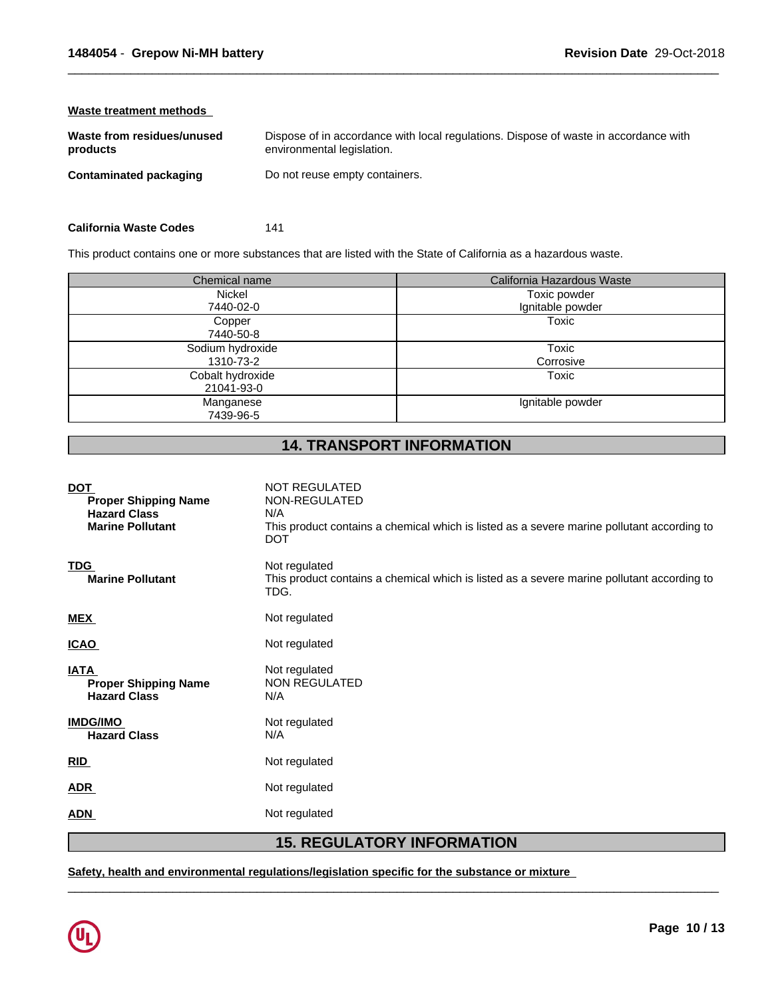| Waste treatment methods                |                                                                                                                    |
|----------------------------------------|--------------------------------------------------------------------------------------------------------------------|
| Waste from residues/unused<br>products | Dispose of in accordance with local regulations. Dispose of waste in accordance with<br>environmental legislation. |
| Contaminated packaging                 | Do not reuse empty containers.                                                                                     |
|                                        |                                                                                                                    |

| <b>California Waste Codes</b> | 141 |  |
|-------------------------------|-----|--|
|                               |     |  |

This product contains one or more substances that are listed with the State of California as a hazardous waste.

| Chemical name                  | California Hazardous Waste |
|--------------------------------|----------------------------|
| Nickel                         | Toxic powder               |
| 7440-02-0                      | Ignitable powder           |
| Copper<br>7440-50-8            | Toxic                      |
| Sodium hydroxide<br>1310-73-2  | Toxic<br>Corrosive         |
| Cobalt hydroxide<br>21041-93-0 | Toxic                      |
| Manganese<br>7439-96-5         | Ignitable powder           |

# **14. TRANSPORT INFORMATION**

| <b>DOT</b><br><b>Proper Shipping Name</b><br><b>Hazard Class</b><br><b>Marine Pollutant</b> | <b>NOT REGULATED</b><br>NON-REGULATED<br>N/A<br>This product contains a chemical which is listed as a severe marine pollutant according to<br><b>DOT</b> |
|---------------------------------------------------------------------------------------------|----------------------------------------------------------------------------------------------------------------------------------------------------------|
| <b>TDG</b><br><b>Marine Pollutant</b>                                                       | Not regulated<br>This product contains a chemical which is listed as a severe marine pollutant according to<br>TDG.                                      |
| <b>MEX</b>                                                                                  | Not regulated                                                                                                                                            |
| <b>ICAO</b>                                                                                 | Not regulated                                                                                                                                            |
| <b>IATA</b><br><b>Proper Shipping Name</b><br><b>Hazard Class</b>                           | Not regulated<br>NON REGULATED<br>N/A                                                                                                                    |
| <b>IMDG/IMO</b><br><b>Hazard Class</b>                                                      | Not regulated<br>N/A                                                                                                                                     |
| RID                                                                                         | Not regulated                                                                                                                                            |
| <b>ADR</b>                                                                                  | Not regulated                                                                                                                                            |
| ADN                                                                                         | Not regulated                                                                                                                                            |
|                                                                                             |                                                                                                                                                          |

# **15. REGULATORY INFORMATION**

 $\overline{\phantom{a}}$  ,  $\overline{\phantom{a}}$  ,  $\overline{\phantom{a}}$  ,  $\overline{\phantom{a}}$  ,  $\overline{\phantom{a}}$  ,  $\overline{\phantom{a}}$  ,  $\overline{\phantom{a}}$  ,  $\overline{\phantom{a}}$  ,  $\overline{\phantom{a}}$  ,  $\overline{\phantom{a}}$  ,  $\overline{\phantom{a}}$  ,  $\overline{\phantom{a}}$  ,  $\overline{\phantom{a}}$  ,  $\overline{\phantom{a}}$  ,  $\overline{\phantom{a}}$  ,  $\overline{\phantom{a}}$ 

**Safety, health and environmental regulations/legislation specific for the substance or mixture**

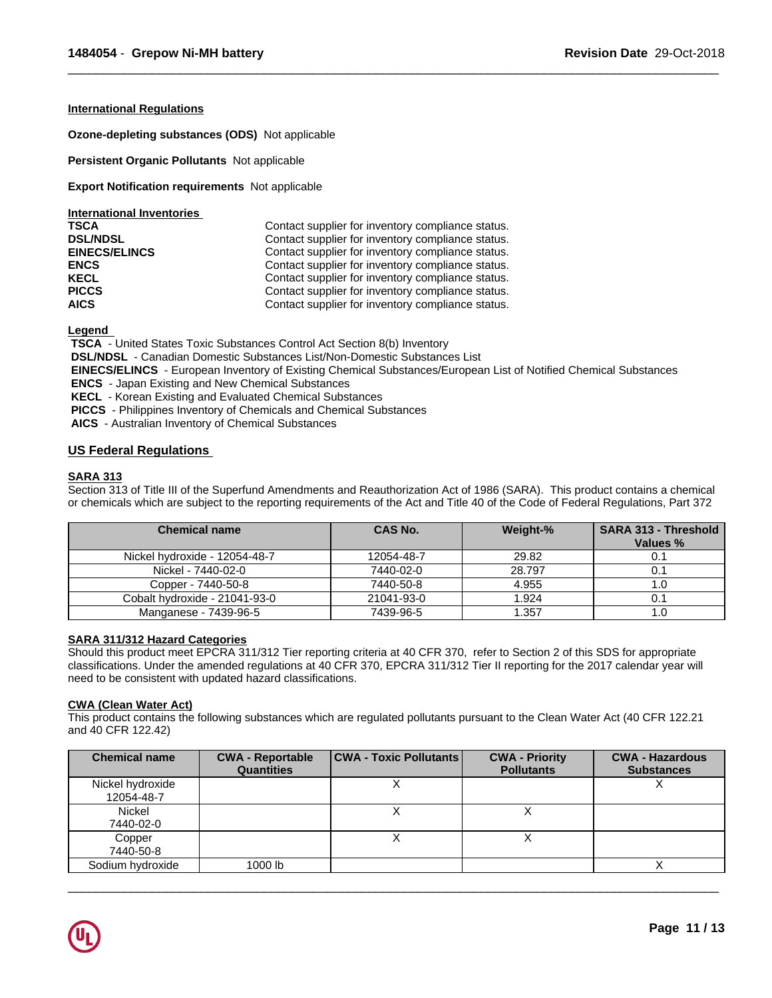## **International Regulations**

**Ozone-depleting substances (ODS)** Notapplicable

**Persistent Organic Pollutants** Not applicable

**Export Notification requirements** Not applicable

| International Inventories |                                                   |
|---------------------------|---------------------------------------------------|
| <b>TSCA</b>               | Contact supplier for inventory compliance status. |
| <b>DSL/NDSL</b>           | Contact supplier for inventory compliance status. |
| <b>EINECS/ELINCS</b>      | Contact supplier for inventory compliance status. |
| <b>ENCS</b>               | Contact supplier for inventory compliance status. |
| <b>KECL</b>               | Contact supplier for inventory compliance status. |
| <b>PICCS</b>              | Contact supplier for inventory compliance status. |
| <b>AICS</b>               | Contact supplier for inventory compliance status. |

**Legend** 

 **TSCA** - United States Toxic Substances Control Act Section 8(b) Inventory

 **DSL/NDSL** - Canadian Domestic Substances List/Non-Domestic Substances List

 **EINECS/ELINCS** - European Inventory of Existing Chemical Substances/European List of Notified Chemical Substances

 $\overline{\phantom{a}}$  ,  $\overline{\phantom{a}}$  ,  $\overline{\phantom{a}}$  ,  $\overline{\phantom{a}}$  ,  $\overline{\phantom{a}}$  ,  $\overline{\phantom{a}}$  ,  $\overline{\phantom{a}}$  ,  $\overline{\phantom{a}}$  ,  $\overline{\phantom{a}}$  ,  $\overline{\phantom{a}}$  ,  $\overline{\phantom{a}}$  ,  $\overline{\phantom{a}}$  ,  $\overline{\phantom{a}}$  ,  $\overline{\phantom{a}}$  ,  $\overline{\phantom{a}}$  ,  $\overline{\phantom{a}}$ 

 **ENCS** - Japan Existing and New Chemical Substances

 **KECL** - Korean Existing and Evaluated Chemical Substances

 **PICCS** - Philippines Inventory of Chemicals and Chemical Substances

 **AICS** - Australian Inventory of Chemical Substances

## **US Federal Regulations**

## **SARA 313**

Section 313 of Title III of the Superfund Amendments and Reauthorization Act of 1986 (SARA). This product contains a chemical or chemicals which are subject to the reporting requirements of the Act and Title 40 of the Code of Federal Regulations, Part 372

| <b>Chemical name</b>          | <b>CAS No.</b> | Weight-% | <b>SARA 313 - Threshold</b><br>Values % |
|-------------------------------|----------------|----------|-----------------------------------------|
| Nickel hydroxide - 12054-48-7 | 12054-48-7     | 29.82    |                                         |
| Nickel - 7440-02-0            | 7440-02-0      | 28.797   |                                         |
| Copper - 7440-50-8            | 7440-50-8      | 4.955    | 1.U                                     |
| Cobalt hydroxide - 21041-93-0 | 21041-93-0     | 1.924    | 0.                                      |
| Manganese - 7439-96-5         | 7439-96-5      | 1.357    | 1.U                                     |

## **SARA 311/312 Hazard Categories**

Should this product meet EPCRA 311/312 Tier reporting criteria at 40 CFR 370, refer to Section 2 of this SDS for appropriate classifications. Under the amended regulations at 40 CFR 370, EPCRA 311/312 Tier II reporting for the 2017 calendar year will need to be consistent with updated hazard classifications.

## **CWA** (Clean Water Act)

This product contains the following substances which are regulated pollutants pursuant to the Clean Water Act (40 CFR 122.21 and 40 CFR 122.42)

| <b>Chemical name</b>           | <b>CWA - Reportable</b><br><b>Quantities</b> | CWA - Toxic Pollutants | <b>CWA - Priority</b><br><b>Pollutants</b> | <b>CWA - Hazardous</b><br><b>Substances</b> |
|--------------------------------|----------------------------------------------|------------------------|--------------------------------------------|---------------------------------------------|
| Nickel hydroxide<br>12054-48-7 |                                              |                        |                                            | $\lambda$                                   |
| <b>Nickel</b><br>7440-02-0     |                                              |                        |                                            |                                             |
| Copper<br>7440-50-8            |                                              |                        |                                            |                                             |
| Sodium hydroxide               | 1000 lb                                      |                        |                                            |                                             |

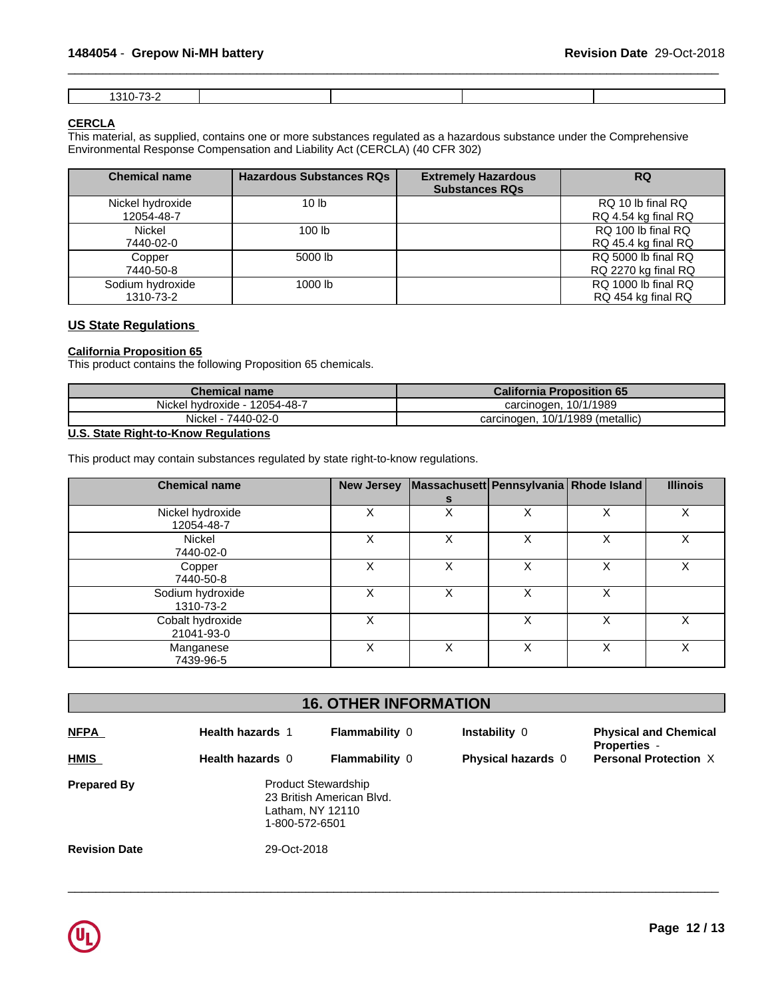## **CERCLA**

This material, as supplied, contains one or more substances regulated as a hazardous substance under the Comprehensive Environmental Response Compensation and Liability Act (CERCLA) (40 CFR 302)

| <b>Chemical name</b>           | <b>Hazardous Substances RQs</b> | <b>Extremely Hazardous</b><br><b>Substances RQs</b> | <b>RQ</b>                                  |
|--------------------------------|---------------------------------|-----------------------------------------------------|--------------------------------------------|
| Nickel hydroxide<br>12054-48-7 | 10 <sub>lb</sub>                |                                                     | RQ 10 lb final RQ<br>RQ 4.54 kg final RQ   |
| Nickel<br>7440-02-0            | 100 <sub>lb</sub>               |                                                     | RQ 100 lb final RQ<br>RQ 45.4 kg final RQ  |
| Copper<br>7440-50-8            | 5000 lb                         |                                                     | RQ 5000 lb final RQ<br>RQ 2270 kg final RQ |
| Sodium hydroxide<br>1310-73-2  | 1000 lb                         |                                                     | RQ 1000 lb final RQ<br>RQ 454 kg final RQ  |

## **US State Regulations**

## **California Proposition 65**

This product contains the following Proposition 65 chemicals.

| Chemical name        | <b>California Proposition 65</b> |
|----------------------|----------------------------------|
| $-12054 - 48 - 7$    | 10/1/1989                        |
| Nickel hydroxide - 1 | carcinogen.                      |
| Nickel -             | 10/1/1989 (metallic)             |
| 7440-02-0            | carcinogen.                      |

## **U.S. State Right-to-Know Regulations**

This product may contain substances regulated by state right-to-know regulations.

| <b>Chemical name</b>           |   |   |   | New Jersey   Massachusett   Pennsylvania   Rhode Island | <b>Illinois</b> |
|--------------------------------|---|---|---|---------------------------------------------------------|-----------------|
|                                |   |   |   |                                                         |                 |
| Nickel hydroxide<br>12054-48-7 | X | x |   |                                                         | Χ               |
| Nickel<br>7440-02-0            | X |   |   |                                                         |                 |
| Copper<br>7440-50-8            | X | х |   |                                                         |                 |
| Sodium hydroxide<br>1310-73-2  | x | x |   | X                                                       |                 |
| Cobalt hydroxide<br>21041-93-0 | x |   |   |                                                         |                 |
| Manganese<br>7439-96-5         | X | X | X | Χ                                                       | X               |

| <b>16. OTHER INFORMATION</b> |                         |                                                                             |                           |                                                     |  |
|------------------------------|-------------------------|-----------------------------------------------------------------------------|---------------------------|-----------------------------------------------------|--|
| <b>NFPA</b>                  | <b>Health hazards 1</b> | <b>Flammability 0</b>                                                       | Instability 0             | <b>Physical and Chemical</b><br><b>Properties -</b> |  |
| <b>HMIS</b>                  | Health hazards 0        | <b>Flammability 0</b>                                                       | <b>Physical hazards</b> 0 | <b>Personal Protection X</b>                        |  |
| <b>Prepared By</b>           | 1-800-572-6501          | <b>Product Stewardship</b><br>23 British American Blvd.<br>Latham, NY 12110 |                           |                                                     |  |
| <b>Revision Date</b>         | 29-Oct-2018             |                                                                             |                           |                                                     |  |